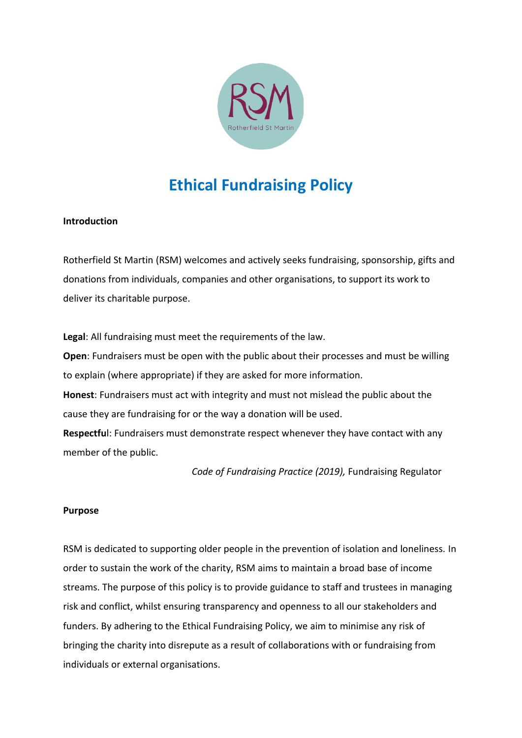

## **Ethical Fundraising Policy**

## **Introduction**

Rotherfield St Martin (RSM) welcomes and actively seeks fundraising, sponsorship, gifts and donations from individuals, companies and other organisations, to support its work to deliver its charitable purpose.

**Legal**: All fundraising must meet the requirements of the law.

**Open**: Fundraisers must be open with the public about their processes and must be willing to explain (where appropriate) if they are asked for more information.

**Honest**: Fundraisers must act with integrity and must not mislead the public about the cause they are fundraising for or the way a donation will be used.

**Respectfu**l: Fundraisers must demonstrate respect whenever they have contact with any member of the public.

*Code of Fundraising Practice (2019),* Fundraising Regulator

## **Purpose**

RSM is dedicated to supporting older people in the prevention of isolation and loneliness. In order to sustain the work of the charity, RSM aims to maintain a broad base of income streams. The purpose of this policy is to provide guidance to staff and trustees in managing risk and conflict, whilst ensuring transparency and openness to all our stakeholders and funders. By adhering to the Ethical Fundraising Policy, we aim to minimise any risk of bringing the charity into disrepute as a result of collaborations with or fundraising from individuals or external organisations.